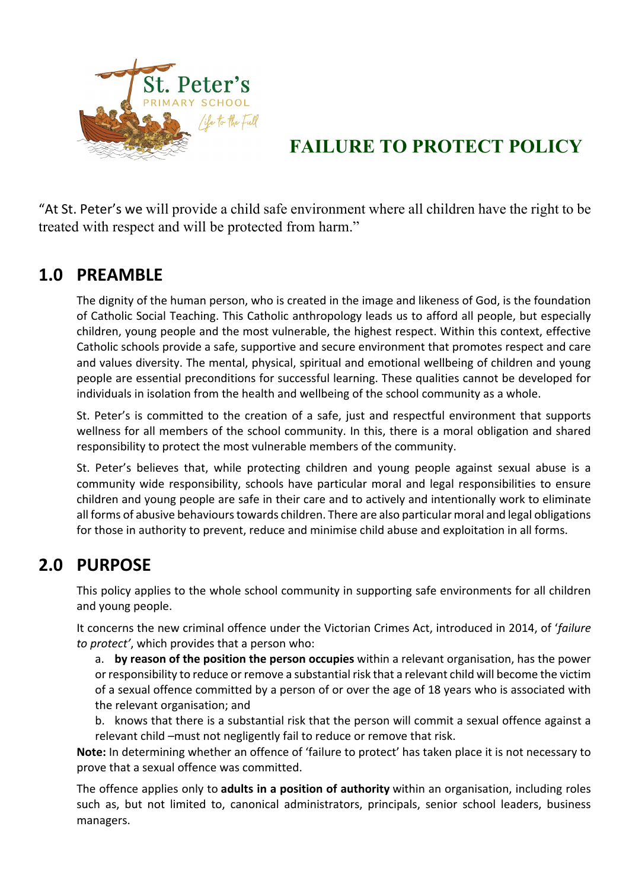

# **FAILURE TO PROTECT POLICY**

"At St. Peter's we will provide a child safe environment where all children have the right to be treated with respect and will be protected from harm."

### **1.0 PREAMBLE**

The dignity of the human person, who is created in the image and likeness of God, is the foundation of Catholic Social Teaching. This Catholic anthropology leads us to afford all people, but especially children, young people and the most vulnerable, the highest respect. Within this context, effective Catholic schools provide a safe, supportive and secure environment that promotes respect and care and values diversity. The mental, physical, spiritual and emotional wellbeing of children and young people are essential preconditions for successful learning. These qualities cannot be developed for individuals in isolation from the health and wellbeing of the school community as a whole.

St. Peter's is committed to the creation of a safe, just and respectful environment that supports wellness for all members of the school community. In this, there is a moral obligation and shared responsibility to protect the most vulnerable members of the community.

St. Peter's believes that, while protecting children and young people against sexual abuse is a community wide responsibility, schools have particular moral and legal responsibilities to ensure children and young people are safe in their care and to actively and intentionally work to eliminate all forms of abusive behaviours towards children. There are also particular moral and legal obligations for those in authority to prevent, reduce and minimise child abuse and exploitation in all forms.

### **2.0 PURPOSE**

This policy applies to the whole school community in supporting safe environments for all children and young people.

It concerns the new criminal offence under the Victorian Crimes Act, introduced in 2014, of '*failure to protect'*, which provides that a person who:

a. **by reason of the position the person occupies** within a relevant organisation, has the power or responsibility to reduce or remove a substantial risk that a relevant child will become the victim of a sexual offence committed by a person of or over the age of 18 years who is associated with the relevant organisation; and

b. knows that there is a substantial risk that the person will commit a sexual offence against a relevant child –must not negligently fail to reduce or remove that risk.

**Note:** In determining whether an offence of 'failure to protect' has taken place it is not necessary to prove that a sexual offence was committed.

The offence applies only to **adults in a position of authority** within an organisation, including roles such as, but not limited to, canonical administrators, principals, senior school leaders, business managers.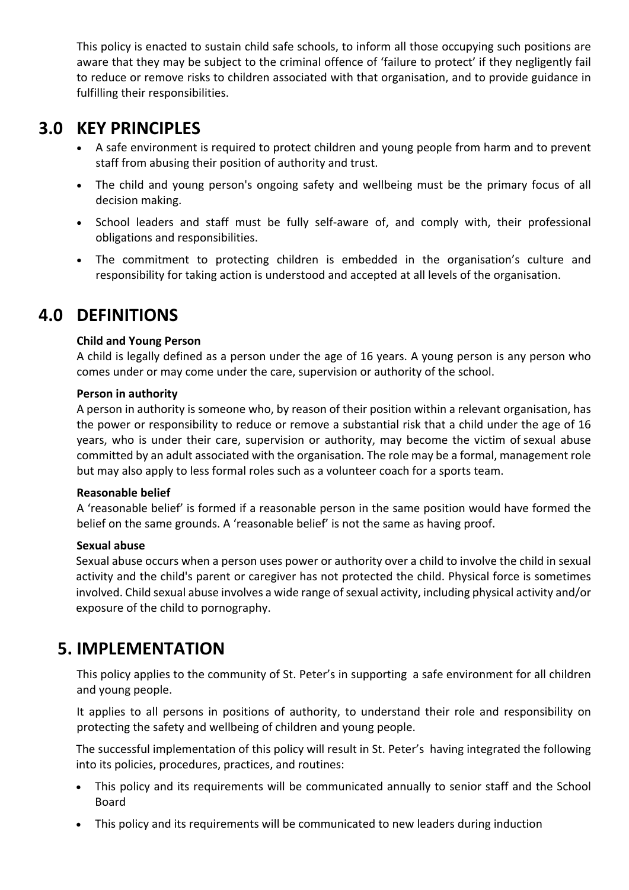This policy is enacted to sustain child safe schools, to inform all those occupying such positions are aware that they may be subject to the criminal offence of 'failure to protect' if they negligently fail to reduce or remove risks to children associated with that organisation, and to provide guidance in fulfilling their responsibilities.

## **3.0 KEY PRINCIPLES**

- A safe environment is required to protect children and young people from harm and to prevent staff from abusing their position of authority and trust.
- The child and young person's ongoing safety and wellbeing must be the primary focus of all decision making.
- School leaders and staff must be fully self-aware of, and comply with, their professional obligations and responsibilities.
- The commitment to protecting children is embedded in the organisation's culture and responsibility for taking action is understood and accepted at all levels of the organisation.

## **4.0 DEFINITIONS**

#### **Child and Young Person**

A child is legally defined as a person under the age of 16 years. A young person is any person who comes under or may come under the care, supervision or authority of the school.

#### **Person in authority**

A person in authority is someone who, by reason of their position within a relevant organisation, has the power or responsibility to reduce or remove a substantial risk that a child under the age of 16 years, who is under their care, supervision or authority, may become the victim of sexual abuse committed by an adult associated with the organisation. The role may be a formal, management role but may also apply to less formal roles such as a volunteer coach for a sports team.

#### **Reasonable belief**

A 'reasonable belief' is formed if a reasonable person in the same position would have formed the belief on the same grounds. A 'reasonable belief' is not the same as having proof.

#### **Sexual abuse**

Sexual abuse occurs when a person uses power or authority over a child to involve the child in sexual activity and the child's parent or caregiver has not protected the child. Physical force is sometimes involved. Child sexual abuse involves a wide range of sexual activity, including physical activity and/or exposure of the child to pornography.

### **5. IMPLEMENTATION**

This policy applies to the community of St. Peter's in supporting a safe environment for all children and young people.

It applies to all persons in positions of authority, to understand their role and responsibility on protecting the safety and wellbeing of children and young people.

The successful implementation of this policy will result in St. Peter's having integrated the following into its policies, procedures, practices, and routines:

- This policy and its requirements will be communicated annually to senior staff and the School Board
- This policy and its requirements will be communicated to new leaders during induction